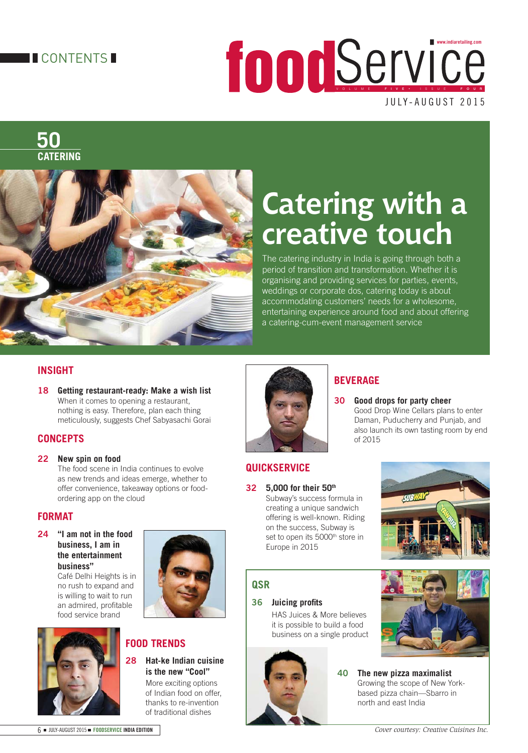#### **TECONTENTS**

JULY-AUGUST 2015 VOLUME FIVE • ISSUE FOUR **www.indiaretailing.com**

**50 CATERING**



## **Catering with a creative touch**

The catering industry in India is going through both a period of transition and transformation. Whether it is organising and providing services for parties, events, weddings or corporate dos, catering today is about accommodating customers' needs for a wholesome, entertaining experience around food and about offering a catering-cum-event management service

of 2015

#### **INSIGHT**

**18 Getting restaurant-ready: Make a wish list**  When it comes to opening a restaurant, nothing is easy. Therefore, plan each thing meticulously, suggests Chef Sabyasachi Gorai

#### **CONCEPTS**

#### **22 New spin on food**

 The food scene in India continues to evolve as new trends and ideas emerge, whether to offer convenience, takeaway options or foodordering app on the cloud

#### **FORMAT**

**24 "I am not in the food business, I am in the entertainment business"** 

 Café Delhi Heights is in no rush to expand and is willing to wait to run an admired, profitable food service brand





### **FOOD TRENDS**

**28 Hat-ke Indian cuisine is the new "Cool"** 

 More exciting options of Indian food on offer, thanks to re-invention of traditional dishes



#### **QUICKSERVICE**

**32 5,000 for their 50th** Subway's success formula in creating a unique sandwich offering is well-known. Riding on the success, Subway is set to open its 5000<sup>th</sup> store in Europe in 2015

# **SUBV**

 Good Drop Wine Cellars plans to enter Daman, Puducherry and Punjab, and also launch its own tasting room by end

#### **QSR**

**36 Juicing profits** 

 HAS Juices & More believes it is possible to build a food business on a single product